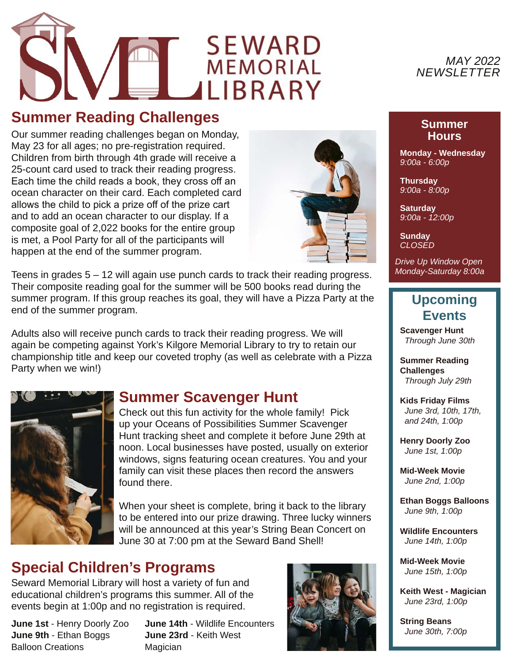# **SEWARD MEMORIAL** MEMORIAL<br>LIBRARY

## **Summer Reading Challenges**

Our summer reading challenges began on Monday, May 23 for all ages; no pre-registration required. Children from birth through 4th grade will receive a 25-count card used to track their reading progress. Each time the child reads a book, they cross off an ocean character on their card. Each completed card allows the child to pick a prize off of the prize cart and to add an ocean character to our display. If a composite goal of 2,022 books for the entire group is met, a Pool Party for all of the participants will happen at the end of the summer program.



Teens in grades 5 – 12 will again use punch cards to track their reading progress. Their composite reading goal for the summer will be 500 books read during the summer program. If this group reaches its goal, they will have a Pizza Party at the end of the summer program.

Adults also will receive punch cards to track their reading progress. We will again be competing against York's Kilgore Memorial Library to try to retain our championship title and keep our coveted trophy (as well as celebrate with a Pizza Party when we win!)



#### **Summer Scavenger Hunt**

Check out this fun activity for the whole family! Pick up your Oceans of Possibilities Summer Scavenger Hunt tracking sheet and complete it before June 29th at noon. Local businesses have posted, usually on exterior windows, signs featuring ocean creatures. You and your family can visit these places then record the answers found there.

When your sheet is complete, bring it back to the library to be entered into our prize drawing. Three lucky winners will be announced at this year's String Bean Concert on June 30 at 7:00 pm at the Seward Band Shell!

## **Special Children's Programs**

Seward Memorial Library will host a variety of fun and educational children's programs this summer. All of the events begin at 1:00p and no registration is required.

**June 1st** - Henry Doorly Zoo **June 9th** - Ethan Boggs Balloon Creations

**June 14th** - Wildlife Encounters **June 23rd** - Keith West Magician





#### **Summer Hours**

**Monday - Wednesday** *9:00a - 6:00p*

**Thursday** *9:00a - 8:00p*

**Saturday** *9:00a - 12:00p*

**Sunday** *CLOSED*

*Drive Up Window Open Monday-Saturday 8:00a*

#### **Upcoming Events**

**Scavenger Hunt**  *Through June 30th*

**Summer Reading Challenges**  *Through July 29th*

**Kids Friday Films**  *June 3rd, 10th, 17th, and 24th, 1:00p*

**Henry Doorly Zoo**  *June 1st, 1:00p*

**Mid-Week Movie**  *June 2nd, 1:00p*

**Ethan Boggs Balloons**  *June 9th, 1:00p*

**Wildlife Encounters**  *June 14th, 1:00p*

**Mid-Week Movie**  *June 15th, 1:00p*

**Keith West - Magician**  *June 23rd, 1:00p*

**String Beans**  *June 30th, 7:00p*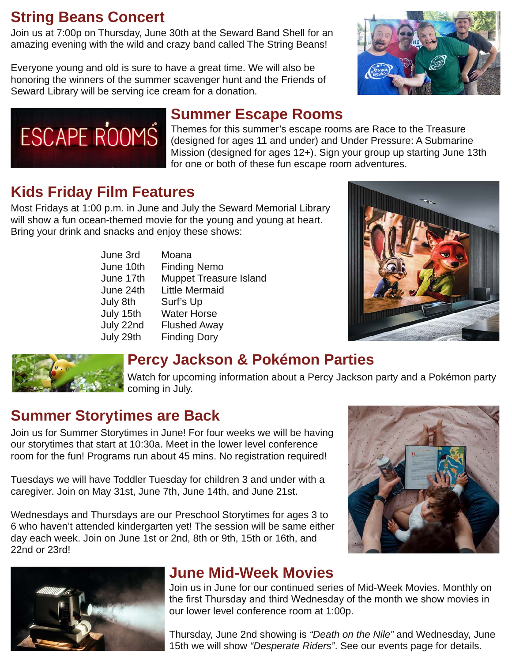# **String Beans Concert**

Join us at 7:00p on Thursday, June 30th at the Seward Band Shell for an amazing evening with the wild and crazy band called The String Beans!

Everyone young and old is sure to have a great time. We will also be honoring the winners of the summer scavenger hunt and the Friends of Seward Library will be serving ice cream for a donation.





# **Summer Escape Rooms**

Themes for this summer's escape rooms are Race to the Treasure (designed for ages 11 and under) and Under Pressure: A Submarine Mission (designed for ages 12+). Sign your group up starting June 13th for one or both of these fun escape room adventures.

# **Kids Friday Film Features**

Most Fridays at 1:00 p.m. in June and July the Seward Memorial Library will show a fun ocean-themed movie for the young and young at heart. Bring your drink and snacks and enjoy these shows:

| June 3rd  | Moana                         |
|-----------|-------------------------------|
| June 10th | <b>Finding Nemo</b>           |
| June 17th | <b>Muppet Treasure Island</b> |
| June 24th | <b>Little Mermaid</b>         |
| July 8th  | Surf's Up                     |
| July 15th | <b>Water Horse</b>            |
| July 22nd | <b>Flushed Away</b>           |
| July 29th | <b>Finding Dory</b>           |





## **Percy Jackson & Pokémon Parties**

Watch for upcoming information about a Percy Jackson party and a Pokémon party coming in July.

## **Summer Storytimes are Back**

Join us for Summer Storytimes in June! For four weeks we will be having our storytimes that start at 10:30a. Meet in the lower level conference room for the fun! Programs run about 45 mins. No registration required!

Tuesdays we will have Toddler Tuesday for children 3 and under with a caregiver. Join on May 31st, June 7th, June 14th, and June 21st.

Wednesdays and Thursdays are our Preschool Storytimes for ages 3 to 6 who haven't attended kindergarten yet! The session will be same either day each week. Join on June 1st or 2nd, 8th or 9th, 15th or 16th, and 22nd or 23rd!





# **June Mid-Week Movies**

Join us in June for our continued series of Mid-Week Movies. Monthly on the first Thursday and third Wednesday of the month we show movies in our lower level conference room at 1:00p.

Thursday, June 2nd showing is *"Death on the Nile"* and Wednesday, June 15th we will show *"Desperate Riders"*. See our events page for details.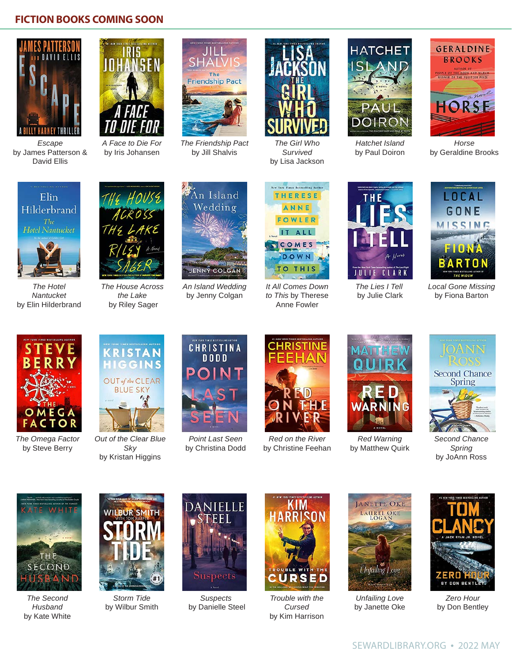#### **FICTION BOOKS COMING SOON**



*Escape* by James Patterson & David Ellis



*A Face to Die For* by Iris Johansen



*The Friendship Pact* by Jill Shalvis



*The Girl Who Survived*  by Lisa Jackson



*Hatchet Island* by Paul Doiron



*Horse*  by Geraldine Brooks



*The Hotel Nantucket*  by Elin Hilderbrand



*The House Across the Lake* by Riley Sager



*An Island Wedding*  by Jenny Colgan



*It All Comes Down to This* by Therese Anne Fowler



*The Lies I Tell* by Julie Clark



*Local Gone Missing* by Fiona Barton



*The Omega Factor* by Steve Berry



*Out of the Clear Blue Sky*  by Kristan Higgins



*Point Last Seen*  by Christina Dodd



*Red on the River* by Christine Feehan



*Red Warning* by Matthew Quirk



*Second Chance Spring* by JoAnn Ross



*The Second Husband* by Kate White



*Storm Tide*  by Wilbur Smith



*Suspects* by Danielle Steel



*Trouble with the Cursed* by Kim Harrison



*Unfailing Love* by Janette Oke



*Zero Hour* by Don Bentley